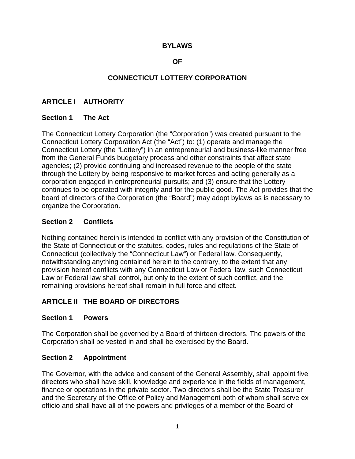#### **BYLAWS**

#### **OF**

## **CONNECTICUT LOTTERY CORPORATION**

## **ARTICLE I AUTHORITY**

#### **Section 1 The Act**

The Connecticut Lottery Corporation (the "Corporation") was created pursuant to the Connecticut Lottery Corporation Act (the "Act") to: (1) operate and manage the Connecticut Lottery (the "Lottery") in an entrepreneurial and business-like manner free from the General Funds budgetary process and other constraints that affect state agencies; (2) provide continuing and increased revenue to the people of the state through the Lottery by being responsive to market forces and acting generally as a corporation engaged in entrepreneurial pursuits; and (3) ensure that the Lottery continues to be operated with integrity and for the public good. The Act provides that the board of directors of the Corporation (the "Board") may adopt bylaws as is necessary to organize the Corporation.

#### **Section 2 Conflicts**

Nothing contained herein is intended to conflict with any provision of the Constitution of the State of Connecticut or the statutes, codes, rules and regulations of the State of Connecticut (collectively the "Connecticut Law") or Federal law. Consequently, notwithstanding anything contained herein to the contrary, to the extent that any provision hereof conflicts with any Connecticut Law or Federal law, such Connecticut Law or Federal law shall control, but only to the extent of such conflict, and the remaining provisions hereof shall remain in full force and effect.

### **ARTICLE II THE BOARD OF DIRECTORS**

#### **Section 1 Powers**

The Corporation shall be governed by a Board of thirteen directors. The powers of the Corporation shall be vested in and shall be exercised by the Board.

#### **Section 2 Appointment**

The Governor, with the advice and consent of the General Assembly, shall appoint five directors who shall have skill, knowledge and experience in the fields of management, finance or operations in the private sector. Two directors shall be the State Treasurer and the Secretary of the Office of Policy and Management both of whom shall serve ex officio and shall have all of the powers and privileges of a member of the Board of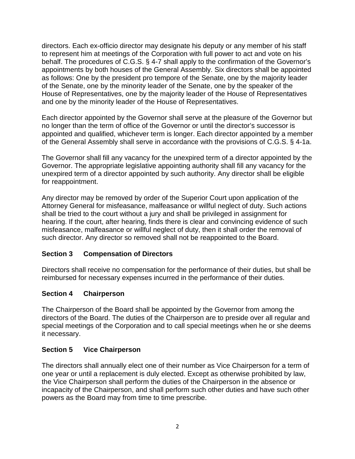directors. Each ex-officio director may designate his deputy or any member of his staff to represent him at meetings of the Corporation with full power to act and vote on his behalf. The procedures of C.G.S. § 4-7 shall apply to the confirmation of the Governor's appointments by both houses of the General Assembly. Six directors shall be appointed as follows: One by the president pro tempore of the Senate, one by the majority leader of the Senate, one by the minority leader of the Senate, one by the speaker of the House of Representatives, one by the majority leader of the House of Representatives and one by the minority leader of the House of Representatives.

Each director appointed by the Governor shall serve at the pleasure of the Governor but no longer than the term of office of the Governor or until the director's successor is appointed and qualified, whichever term is longer. Each director appointed by a member of the General Assembly shall serve in accordance with the provisions of C.G.S. § 4-1a.

The Governor shall fill any vacancy for the unexpired term of a director appointed by the Governor. The appropriate legislative appointing authority shall fill any vacancy for the unexpired term of a director appointed by such authority. Any director shall be eligible for reappointment.

Any director may be removed by order of the Superior Court upon application of the Attorney General for misfeasance, malfeasance or willful neglect of duty. Such actions shall be tried to the court without a jury and shall be privileged in assignment for hearing. If the court, after hearing, finds there is clear and convincing evidence of such misfeasance, malfeasance or willful neglect of duty, then it shall order the removal of such director. Any director so removed shall not be reappointed to the Board.

### **Section 3 Compensation of Directors**

Directors shall receive no compensation for the performance of their duties, but shall be reimbursed for necessary expenses incurred in the performance of their duties.

### **Section 4 Chairperson**

The Chairperson of the Board shall be appointed by the Governor from among the directors of the Board. The duties of the Chairperson are to preside over all regular and special meetings of the Corporation and to call special meetings when he or she deems it necessary.

### **Section 5 Vice Chairperson**

The directors shall annually elect one of their number as Vice Chairperson for a term of one year or until a replacement is duly elected. Except as otherwise prohibited by law, the Vice Chairperson shall perform the duties of the Chairperson in the absence or incapacity of the Chairperson, and shall perform such other duties and have such other powers as the Board may from time to time prescribe.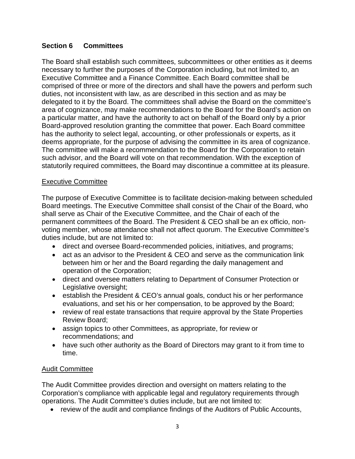### **Section 6 Committees**

The Board shall establish such committees, subcommittees or other entities as it deems necessary to further the purposes of the Corporation including, but not limited to, an Executive Committee and a Finance Committee. Each Board committee shall be comprised of three or more of the directors and shall have the powers and perform such duties, not inconsistent with law, as are described in this section and as may be delegated to it by the Board. The committees shall advise the Board on the committee's area of cognizance, may make recommendations to the Board for the Board's action on a particular matter, and have the authority to act on behalf of the Board only by a prior Board-approved resolution granting the committee that power. Each Board committee has the authority to select legal, accounting, or other professionals or experts, as it deems appropriate, for the purpose of advising the committee in its area of cognizance. The committee will make a recommendation to the Board for the Corporation to retain such advisor, and the Board will vote on that recommendation. With the exception of statutorily required committees, the Board may discontinue a committee at its pleasure.

#### Executive Committee

The purpose of Executive Committee is to facilitate decision-making between scheduled Board meetings. The Executive Committee shall consist of the Chair of the Board, who shall serve as Chair of the Executive Committee, and the Chair of each of the permanent committees of the Board. The President & CEO shall be an ex officio, nonvoting member, whose attendance shall not affect quorum. The Executive Committee's duties include, but are not limited to:

- direct and oversee Board-recommended policies, initiatives, and programs;
- act as an advisor to the President & CEO and serve as the communication link between him or her and the Board regarding the daily management and operation of the Corporation;
- direct and oversee matters relating to Department of Consumer Protection or Legislative oversight;
- establish the President & CEO's annual goals, conduct his or her performance evaluations, and set his or her compensation, to be approved by the Board;
- review of real estate transactions that require approval by the State Properties Review Board;
- assign topics to other Committees, as appropriate, for review or recommendations; and
- have such other authority as the Board of Directors may grant to it from time to time.

### Audit Committee

The Audit Committee provides direction and oversight on matters relating to the Corporation's compliance with applicable legal and regulatory requirements through operations. The Audit Committee's duties include, but are not limited to:

• review of the audit and compliance findings of the Auditors of Public Accounts,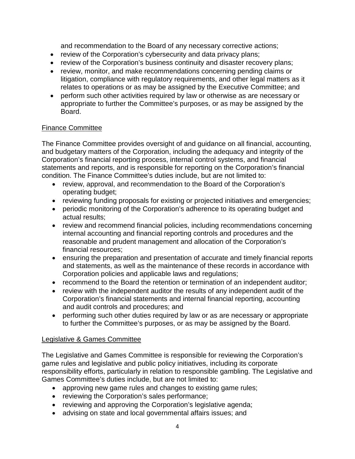and recommendation to the Board of any necessary corrective actions;

- review of the Corporation's cybersecurity and data privacy plans;
- review of the Corporation's business continuity and disaster recovery plans;
- review, monitor, and make recommendations concerning pending claims or litigation, compliance with regulatory requirements, and other legal matters as it relates to operations or as may be assigned by the Executive Committee; and
- perform such other activities required by law or otherwise as are necessary or appropriate to further the Committee's purposes, or as may be assigned by the Board.

### Finance Committee

The Finance Committee provides oversight of and guidance on all financial, accounting, and budgetary matters of the Corporation, including the adequacy and integrity of the Corporation's financial reporting process, internal control systems, and financial statements and reports, and is responsible for reporting on the Corporation's financial condition. The Finance Committee's duties include, but are not limited to:

- review, approval, and recommendation to the Board of the Corporation's operating budget;
- reviewing funding proposals for existing or projected initiatives and emergencies;
- periodic monitoring of the Corporation's adherence to its operating budget and actual results;
- review and recommend financial policies, including recommendations concerning internal accounting and financial reporting controls and procedures and the reasonable and prudent management and allocation of the Corporation's financial resources;
- ensuring the preparation and presentation of accurate and timely financial reports and statements, as well as the maintenance of these records in accordance with Corporation policies and applicable laws and regulations;
- recommend to the Board the retention or termination of an independent auditor;
- review with the independent auditor the results of any independent audit of the Corporation's financial statements and internal financial reporting, accounting and audit controls and procedures; and
- performing such other duties required by law or as are necessary or appropriate to further the Committee's purposes, or as may be assigned by the Board.

### Legislative & Games Committee

The Legislative and Games Committee is responsible for reviewing the Corporation's game rules and legislative and public policy initiatives, including its corporate responsibility efforts, particularly in relation to responsible gambling. The Legislative and Games Committee's duties include, but are not limited to:

- approving new game rules and changes to existing game rules;
- reviewing the Corporation's sales performance;
- reviewing and approving the Corporation's legislative agenda;
- advising on state and local governmental affairs issues; and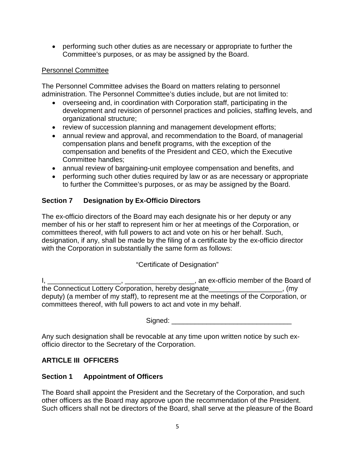• performing such other duties as are necessary or appropriate to further the Committee's purposes, or as may be assigned by the Board.

### Personnel Committee

The Personnel Committee advises the Board on matters relating to personnel administration. The Personnel Committee's duties include, but are not limited to:

- overseeing and, in coordination with Corporation staff, participating in the development and revision of personnel practices and policies, staffing levels, and organizational structure;
- review of succession planning and management development efforts;
- annual review and approval, and recommendation to the Board, of managerial compensation plans and benefit programs, with the exception of the compensation and benefits of the President and CEO, which the Executive Committee handles;
- annual review of bargaining-unit employee compensation and benefits, and
- performing such other duties required by law or as are necessary or appropriate to further the Committee's purposes, or as may be assigned by the Board.

# **Section 7 Designation by Ex-Officio Directors**

The ex-officio directors of the Board may each designate his or her deputy or any member of his or her staff to represent him or her at meetings of the Corporation, or committees thereof, with full powers to act and vote on his or her behalf. Such, designation, if any, shall be made by the filing of a certificate by the ex-officio director with the Corporation in substantially the same form as follows:

# "Certificate of Designation"

I, \_\_\_\_\_\_\_\_\_\_\_\_\_\_\_\_\_\_\_, \_\_\_\_\_\_\_\_\_\_\_\_\_\_\_\_\_\_, an ex-officio member of the Board of the Connecticut Lottery Corporation, hereby designate\_\_\_\_\_\_\_\_\_\_\_\_\_\_\_\_\_\_\_, (my deputy) (a member of my staff), to represent me at the meetings of the Corporation, or committees thereof, with full powers to act and vote in my behalf.

Signed: \_\_\_\_\_\_\_\_\_\_\_\_\_\_\_\_\_\_\_\_\_\_\_\_\_\_\_\_\_\_\_

Any such designation shall be revocable at any time upon written notice by such exofficio director to the Secretary of the Corporation.

# **ARTICLE III OFFICERS**

# **Section 1 Appointment of Officers**

The Board shall appoint the President and the Secretary of the Corporation, and such other officers as the Board may approve upon the recommendation of the President. Such officers shall not be directors of the Board, shall serve at the pleasure of the Board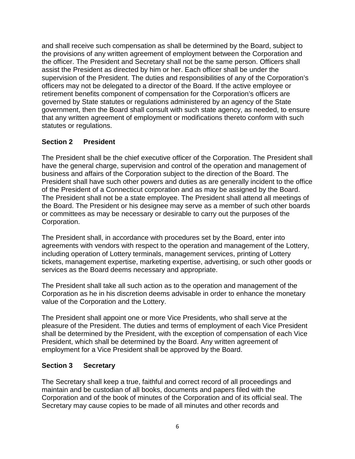and shall receive such compensation as shall be determined by the Board, subject to the provisions of any written agreement of employment between the Corporation and the officer. The President and Secretary shall not be the same person. Officers shall assist the President as directed by him or her. Each officer shall be under the supervision of the President. The duties and responsibilities of any of the Corporation's officers may not be delegated to a director of the Board. If the active employee or retirement benefits component of compensation for the Corporation's officers are governed by State statutes or regulations administered by an agency of the State government, then the Board shall consult with such state agency, as needed, to ensure that any written agreement of employment or modifications thereto conform with such statutes or regulations.

### **Section 2 President**

The President shall be the chief executive officer of the Corporation. The President shall have the general charge, supervision and control of the operation and management of business and affairs of the Corporation subject to the direction of the Board. The President shall have such other powers and duties as are generally incident to the office of the President of a Connecticut corporation and as may be assigned by the Board. The President shall not be a state employee. The President shall attend all meetings of the Board. The President or his designee may serve as a member of such other boards or committees as may be necessary or desirable to carry out the purposes of the Corporation.

The President shall, in accordance with procedures set by the Board, enter into agreements with vendors with respect to the operation and management of the Lottery, including operation of Lottery terminals, management services, printing of Lottery tickets, management expertise, marketing expertise, advertising, or such other goods or services as the Board deems necessary and appropriate.

The President shall take all such action as to the operation and management of the Corporation as he in his discretion deems advisable in order to enhance the monetary value of the Corporation and the Lottery.

The President shall appoint one or more Vice Presidents, who shall serve at the pleasure of the President. The duties and terms of employment of each Vice President shall be determined by the President, with the exception of compensation of each Vice President, which shall be determined by the Board. Any written agreement of employment for a Vice President shall be approved by the Board.

### **Section 3 Secretary**

The Secretary shall keep a true, faithful and correct record of all proceedings and maintain and be custodian of all books, documents and papers filed with the Corporation and of the book of minutes of the Corporation and of its official seal. The Secretary may cause copies to be made of all minutes and other records and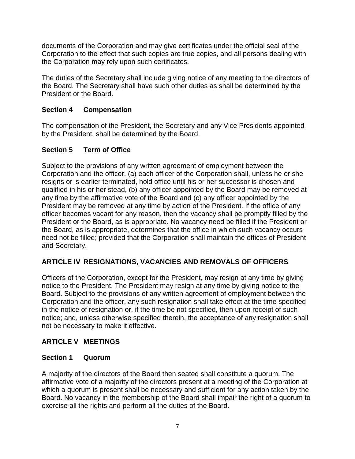documents of the Corporation and may give certificates under the official seal of the Corporation to the effect that such copies are true copies, and all persons dealing with the Corporation may rely upon such certificates.

The duties of the Secretary shall include giving notice of any meeting to the directors of the Board. The Secretary shall have such other duties as shall be determined by the President or the Board.

# **Section 4 Compensation**

The compensation of the President, the Secretary and any Vice Presidents appointed by the President, shall be determined by the Board.

### **Section 5 Term of Office**

Subject to the provisions of any written agreement of employment between the Corporation and the officer, (a) each officer of the Corporation shall, unless he or she resigns or is earlier terminated, hold office until his or her successor is chosen and qualified in his or her stead, (b) any officer appointed by the Board may be removed at any time by the affirmative vote of the Board and (c) any officer appointed by the President may be removed at any time by action of the President. If the office of any officer becomes vacant for any reason, then the vacancy shall be promptly filled by the President or the Board, as is appropriate. No vacancy need be filled if the President or the Board, as is appropriate, determines that the office in which such vacancy occurs need not be filled; provided that the Corporation shall maintain the offices of President and Secretary.

### **ARTICLE IV RESIGNATIONS, VACANCIES AND REMOVALS OF OFFICERS**

Officers of the Corporation, except for the President, may resign at any time by giving notice to the President. The President may resign at any time by giving notice to the Board. Subject to the provisions of any written agreement of employment between the Corporation and the officer, any such resignation shall take effect at the time specified in the notice of resignation or, if the time be not specified, then upon receipt of such notice; and, unless otherwise specified therein, the acceptance of any resignation shall not be necessary to make it effective.

# **ARTICLE V MEETINGS**

# **Section 1 Quorum**

A majority of the directors of the Board then seated shall constitute a quorum. The affirmative vote of a majority of the directors present at a meeting of the Corporation at which a quorum is present shall be necessary and sufficient for any action taken by the Board. No vacancy in the membership of the Board shall impair the right of a quorum to exercise all the rights and perform all the duties of the Board.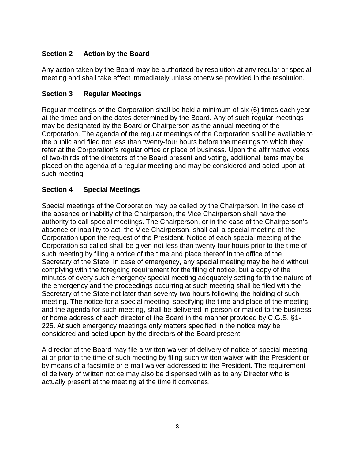## **Section 2 Action by the Board**

Any action taken by the Board may be authorized by resolution at any regular or special meeting and shall take effect immediately unless otherwise provided in the resolution.

### **Section 3 Regular Meetings**

Regular meetings of the Corporation shall be held a minimum of six (6) times each year at the times and on the dates determined by the Board. Any of such regular meetings may be designated by the Board or Chairperson as the annual meeting of the Corporation. The agenda of the regular meetings of the Corporation shall be available to the public and filed not less than twenty-four hours before the meetings to which they refer at the Corporation's regular office or place of business. Upon the affirmative votes of two-thirds of the directors of the Board present and voting, additional items may be placed on the agenda of a regular meeting and may be considered and acted upon at such meeting.

### **Section 4 Special Meetings**

Special meetings of the Corporation may be called by the Chairperson. In the case of the absence or inability of the Chairperson, the Vice Chairperson shall have the authority to call special meetings. The Chairperson, or in the case of the Chairperson's absence or inability to act, the Vice Chairperson, shall call a special meeting of the Corporation upon the request of the President. Notice of each special meeting of the Corporation so called shall be given not less than twenty-four hours prior to the time of such meeting by filing a notice of the time and place thereof in the office of the Secretary of the State. In case of emergency, any special meeting may be held without complying with the foregoing requirement for the filing of notice, but a copy of the minutes of every such emergency special meeting adequately setting forth the nature of the emergency and the proceedings occurring at such meeting shall be filed with the Secretary of the State not later than seventy-two hours following the holding of such meeting. The notice for a special meeting, specifying the time and place of the meeting and the agenda for such meeting, shall be delivered in person or mailed to the business or home address of each director of the Board in the manner provided by C.G.S. §1- 225. At such emergency meetings only matters specified in the notice may be considered and acted upon by the directors of the Board present.

A director of the Board may file a written waiver of delivery of notice of special meeting at or prior to the time of such meeting by filing such written waiver with the President or by means of a facsimile or e-mail waiver addressed to the President. The requirement of delivery of written notice may also be dispensed with as to any Director who is actually present at the meeting at the time it convenes.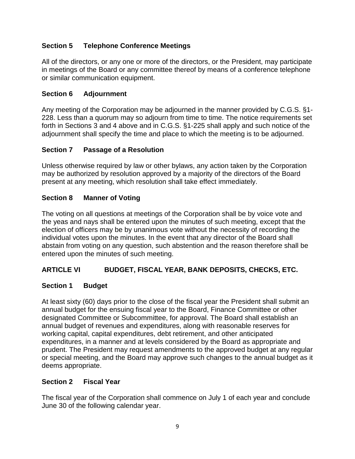## **Section 5 Telephone Conference Meetings**

All of the directors, or any one or more of the directors, or the President, may participate in meetings of the Board or any committee thereof by means of a conference telephone or similar communication equipment.

### **Section 6 Adjournment**

Any meeting of the Corporation may be adjourned in the manner provided by C.G.S. §1- 228. Less than a quorum may so adjourn from time to time. The notice requirements set forth in Sections 3 and 4 above and in C.G.S. §1-225 shall apply and such notice of the adjournment shall specify the time and place to which the meeting is to be adjourned.

### **Section 7 Passage of a Resolution**

Unless otherwise required by law or other bylaws, any action taken by the Corporation may be authorized by resolution approved by a majority of the directors of the Board present at any meeting, which resolution shall take effect immediately.

### **Section 8 Manner of Voting**

The voting on all questions at meetings of the Corporation shall be by voice vote and the yeas and nays shall be entered upon the minutes of such meeting, except that the election of officers may be by unanimous vote without the necessity of recording the individual votes upon the minutes. In the event that any director of the Board shall abstain from voting on any question, such abstention and the reason therefore shall be entered upon the minutes of such meeting.

### **ARTICLE VI BUDGET, FISCAL YEAR, BANK DEPOSITS, CHECKS, ETC.**

### **Section 1 Budget**

At least sixty (60) days prior to the close of the fiscal year the President shall submit an annual budget for the ensuing fiscal year to the Board, Finance Committee or other designated Committee or Subcommittee, for approval. The Board shall establish an annual budget of revenues and expenditures, along with reasonable reserves for working capital, capital expenditures, debt retirement, and other anticipated expenditures, in a manner and at levels considered by the Board as appropriate and prudent. The President may request amendments to the approved budget at any regular or special meeting, and the Board may approve such changes to the annual budget as it deems appropriate.

### **Section 2 Fiscal Year**

The fiscal year of the Corporation shall commence on July 1 of each year and conclude June 30 of the following calendar year.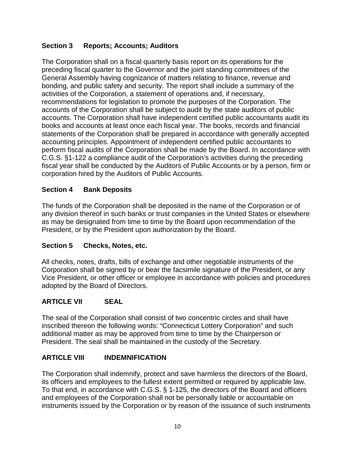## **Section 3 Reports; Accounts; Auditors**

The Corporation shall on a fiscal quarterly basis report on its operations for the preceding fiscal quarter to the Governor and the joint standing committees of the General Assembly having cognizance of matters relating to finance, revenue and bonding, and public safety and security. The report shall include a summary of the activities of the Corporation, a statement of operations and, if necessary, recommendations for legislation to promote the purposes of the Corporation. The accounts of the Corporation shall be subject to audit by the state auditors of public accounts. The Corporation shall have independent certified public accountants audit its books and accounts at least once each fiscal year. The books, records and financial statements of the Corporation shall be prepared in accordance with generally accepted accounting principles. Appointment of independent certified public accountants to perform fiscal audits of the Corporation shall be made by the Board. In accordance with C.G.S. §1-122 a compliance audit of the Corporation's activities during the preceding fiscal year shall be conducted by the Auditors of Public Accounts or by a person, firm or corporation hired by the Auditors of Public Accounts.

### **Section 4 Bank Deposits**

The funds of the Corporation shall be deposited in the name of the Corporation or of any division thereof in such banks or trust companies in the United States or elsewhere as may be designated from time to time by the Board upon recommendation of the President, or by the President upon authorization by the Board.

### **Section 5 Checks, Notes, etc.**

All checks, notes, drafts, bills of exchange and other negotiable instruments of the Corporation shall be signed by or bear the facsimile signature of the President, or any Vice President, or other officer or employee in accordance with policies and procedures adopted by the Board of Directors.

### **ARTICLE VII SEAL**

The seal of the Corporation shall consist of two concentric circles and shall have inscribed thereon the following words: "Connecticut Lottery Corporation" and such additional matter as may be approved from time to time by the Chairperson or President. The seal shall be maintained in the custody of the Secretary.

### **ARTICLE VIII INDEMNIFICATION**

The Corporation shall indemnify, protect and save harmless the directors of the Board, its officers and employees to the fullest extent permitted or required by applicable law. To that end, in accordance with C.G.S. § 1-125, the directors of the Board and officers and employees of the Corporation shall not be personally liable or accountable on instruments issued by the Corporation or by reason of the issuance of such instruments